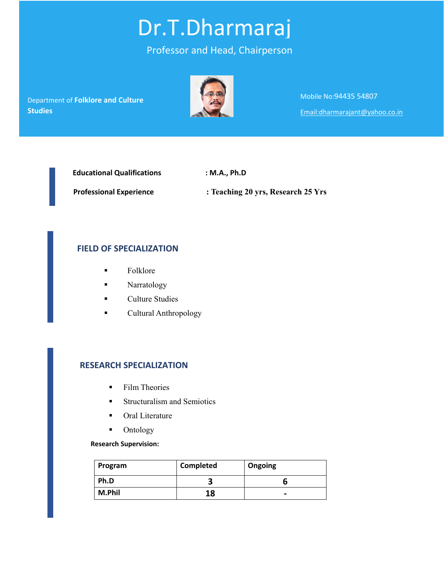# Dr.T.Dharmaraj

# Professor and Head, Chairperson

 $\blacksquare$ Department of **Folklore and Culture Studies**



Mobile No:94435 54807 Email:dharmarajant@yahoo.co.in

 **Educational Qualifications : M.A., Ph.D**

 **Professional Experience : Teaching 20 yrs, Research 25 Yrs**

# **FIELD OF SPECIALIZATION**

- Folklore
- **Narratology**
- **Culture Studies**
- **Cultural Anthropology**

### **RESEARCH SPECIALIZATION**

- **Film Theories**
- **Structuralism and Semiotics**
- **•** Oral Literature
- **•** Ontology

#### **Research Supervision:**

| Program | <b>Completed</b> | Ongoing |
|---------|------------------|---------|
| Ph.D    |                  |         |
| M.Phil  | 18               | -       |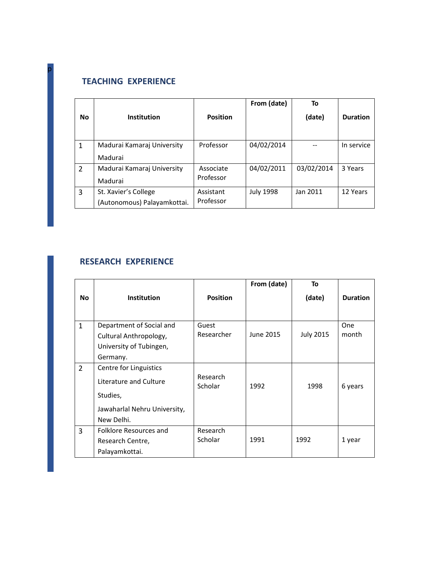# **TEACHING EXPERIENCE**

p 

|                |                                                     |                        | From (date)      | To         |                 |
|----------------|-----------------------------------------------------|------------------------|------------------|------------|-----------------|
| <b>No</b>      | <b>Institution</b>                                  | <b>Position</b>        |                  | (date)     | <b>Duration</b> |
| $\mathbf 1$    | Madurai Kamaraj University<br>Madurai               | Professor              | 04/02/2014       |            | In service      |
| $\overline{2}$ | Madurai Kamarai University<br>Madurai               | Associate<br>Professor | 04/02/2011       | 03/02/2014 | 3 Years         |
| 3              | St. Xavier's College<br>(Autonomous) Palayamkottai. | Assistant<br>Professor | <b>July 1998</b> | Jan 2011   | 12 Years        |

## **RESEARCH EXPERIENCE**

|                |                              |                     | From (date) | To               |                 |
|----------------|------------------------------|---------------------|-------------|------------------|-----------------|
| No.            | <b>Institution</b>           | <b>Position</b>     |             | (date)           | <b>Duration</b> |
|                |                              |                     |             |                  |                 |
| $\mathbf{1}$   | Department of Social and     | Guest               |             |                  | One             |
|                | Cultural Anthropology,       | Researcher          | June 2015   | <b>July 2015</b> | month           |
|                | University of Tubingen,      |                     |             |                  |                 |
|                | Germany.                     |                     |             |                  |                 |
| $\overline{2}$ | Centre for Linguistics       |                     |             |                  |                 |
|                | Literature and Culture       | Research<br>Scholar | 1992        | 1998             | 6 years         |
|                | Studies,                     |                     |             |                  |                 |
|                | Jawaharlal Nehru University, |                     |             |                  |                 |
|                | New Delhi.                   |                     |             |                  |                 |
| 3              | Folklore Resources and       | Research            |             |                  |                 |
|                | Research Centre,             | Scholar             | 1991        | 1992             | 1 year          |
|                | Palayamkottai.               |                     |             |                  |                 |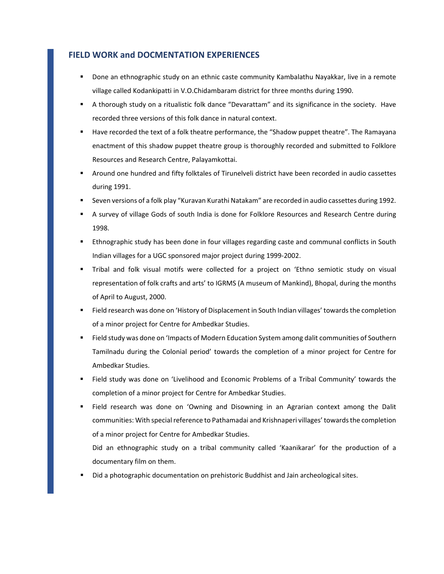#### **FIELD WORK and DOCMENTATION EXPERIENCES**

- Done an ethnographic study on an ethnic caste community Kambalathu Nayakkar, live in a remote village called Kodankipatti in V.O.Chidambaram district for three months during 1990.
- A thorough study on a ritualistic folk dance "Devarattam" and its significance in the society. Have recorded three versions of this folk dance in natural context.
- Have recorded the text of a folk theatre performance, the "Shadow puppet theatre". The Ramayana enactment of this shadow puppet theatre group is thoroughly recorded and submitted to Folklore Resources and Research Centre, Palayamkottai.
- Around one hundred and fifty folktales of Tirunelveli district have been recorded in audio cassettes during 1991.
- Seven versions of a folk play "Kuravan Kurathi Natakam" are recorded in audio cassettes during 1992.
- A survey of village Gods of south India is done for Folklore Resources and Research Centre during 1998.
- Ethnographic study has been done in four villages regarding caste and communal conflicts in South Indian villages for a UGC sponsored major project during 1999‐2002.
- Tribal and folk visual motifs were collected for a project on 'Ethno semiotic study on visual representation of folk crafts and arts' to IGRMS (A museum of Mankind), Bhopal, during the months of April to August, 2000.
- Field research was done on 'History of Displacement in South Indian villages' towardsthe completion of a minor project for Centre for Ambedkar Studies.
- **Field study was done on 'Impacts of Modern Education System among dalit communities of Southern** Tamilnadu during the Colonial period' towards the completion of a minor project for Centre for Ambedkar Studies.
- Field study was done on 'Livelihood and Economic Problems of a Tribal Community' towards the completion of a minor project for Centre for Ambedkar Studies.
- Field research was done on 'Owning and Disowning in an Agrarian context among the Dalit communities: With special reference to Pathamadai and Krishnaperi villages' towards the completion of a minor project for Centre for Ambedkar Studies.

Did an ethnographic study on a tribal community called 'Kaanikarar' for the production of a documentary film on them.

Did a photographic documentation on prehistoric Buddhist and Jain archeological sites.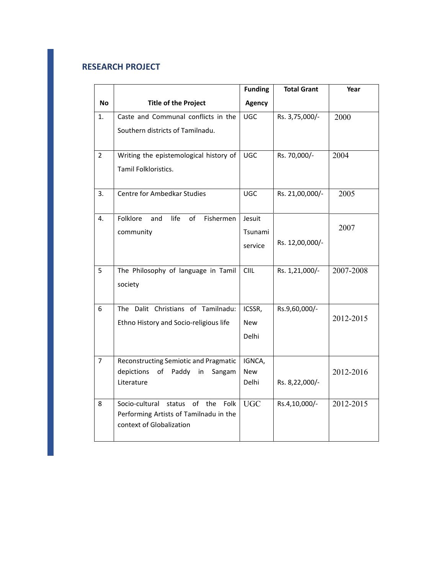## **RESEARCH PROJECT**

|                |                                               | <b>Funding</b> | <b>Total Grant</b> | Year      |
|----------------|-----------------------------------------------|----------------|--------------------|-----------|
| No             | <b>Title of the Project</b>                   | <b>Agency</b>  |                    |           |
| 1.             | Caste and Communal conflicts in the           | <b>UGC</b>     | Rs. 3,75,000/-     | 2000      |
|                | Southern districts of Tamilnadu.              |                |                    |           |
|                |                                               |                |                    |           |
| $\overline{2}$ | Writing the epistemological history of        | <b>UGC</b>     | Rs. 70,000/-       | 2004      |
|                | Tamil Folkloristics.                          |                |                    |           |
|                |                                               |                |                    |           |
| 3.             | Centre for Ambedkar Studies                   | <b>UGC</b>     | Rs. 21,00,000/-    | 2005      |
|                |                                               |                |                    |           |
| 4.             | life<br>of<br>Folklore<br>and<br>Fishermen    | Jesuit         |                    | 2007      |
|                | community                                     | Tsunami        | Rs. 12,00,000/-    |           |
|                |                                               | service        |                    |           |
| 5              | The Philosophy of language in Tamil           | CIIL           | Rs. 1,21,000/-     | 2007-2008 |
|                | society                                       |                |                    |           |
|                |                                               |                |                    |           |
| 6              | The Dalit Christians of Tamilnadu:            | ICSSR,         | Rs.9,60,000/-      |           |
|                | Ethno History and Socio-religious life        | <b>New</b>     |                    | 2012-2015 |
|                |                                               | Delhi          |                    |           |
|                |                                               |                |                    |           |
| $\overline{7}$ | Reconstructing Semiotic and Pragmatic         | IGNCA,         |                    |           |
|                | depictions<br>of<br>Paddy<br>in<br>Sangam     | New            |                    | 2012-2016 |
|                | Literature                                    | Delhi          | Rs. 8,22,000/-     |           |
| 8              | of<br>Socio-cultural<br>status<br>the<br>Folk | <b>UGC</b>     | Rs.4,10,000/-      | 2012-2015 |
|                | Performing Artists of Tamilnadu in the        |                |                    |           |
|                | context of Globalization                      |                |                    |           |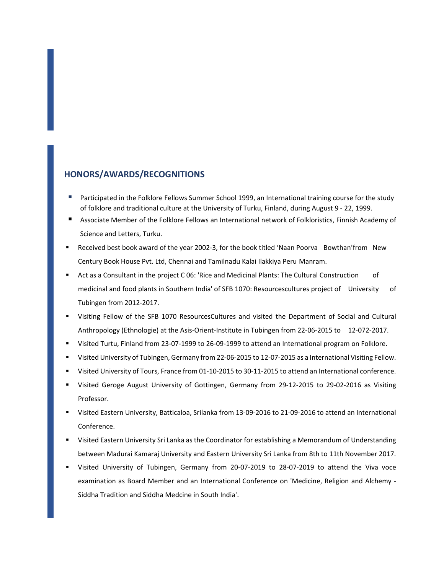#### **HONORS/AWARDS/RECOGNITIONS**

- Participated in the Folklore Fellows Summer School 1999, an International training course for the study of folklore and traditional culture at the University of Turku, Finland, during August 9 ‐ 22, 1999.
- Associate Member of the Folklore Fellows an International network of Folkloristics, Finnish Academy of Science and Letters, Turku.
- Received best book award of the year 2002-3, for the book titled 'Naan Poorva Bowthan'from New Century Book House Pvt. Ltd, Chennai and Tamilnadu Kalai Ilakkiya Peru Manram.
- Act as a Consultant in the project C 06: 'Rice and Medicinal Plants: The Cultural Construction of medicinal and food plants in Southern India' of SFB 1070: Resourcescultures project of University of Tubingen from 2012‐2017.
- Visiting Fellow of the SFB 1070 ResourcesCultures and visited the Department of Social and Cultural Anthropology (Ethnologie) at the Asis‐Orient‐Institute in Tubingen from 22‐06‐2015 to 12‐072‐2017.
- Visited Turtu, Finland from 23‐07‐1999 to 26‐09‐1999 to attend an International program on Folklore.
- Visited University of Tubingen, Germany from 22‐06‐2015 to 12‐07‐2015 as a International Visiting Fellow.
- Visited University of Tours, France from 01‐10‐2015 to 30‐11‐2015 to attend an International conference.
- Visited Geroge August University of Gottingen, Germany from 29‐12‐2015 to 29‐02‐2016 as Visiting Professor.
- Visited Eastern University, Batticaloa, Srilanka from 13‐09‐2016 to 21‐09‐2016 to attend an International Conference.
- Visited Eastern University Sri Lanka as the Coordinator for establishing a Memorandum of Understanding between Madurai Kamaraj University and Eastern University Sri Lanka from 8th to 11th November 2017.
- Visited University of Tubingen, Germany from 20‐07‐2019 to 28‐07‐2019 to attend the Viva voce examination as Board Member and an International Conference on 'Medicine, Religion and Alchemy ‐ Siddha Tradition and Siddha Medcine in South India'.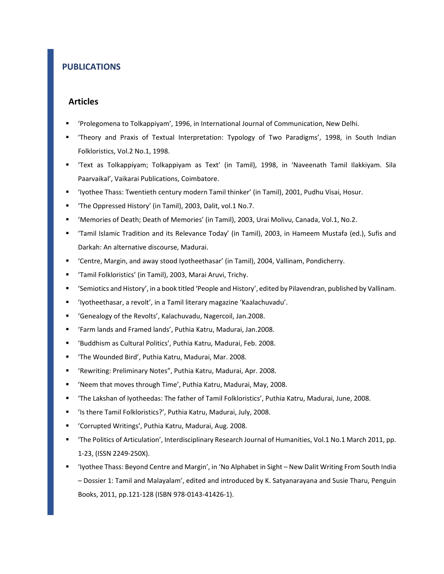## **PUBLICATIONS**

#### **Articles**

- 'Prolegomena to Tolkappiyam', 1996, in International Journal of Communication, New Delhi.
- 'Theory and Praxis of Textual Interpretation: Typology of Two Paradigms', 1998, in South Indian Folkloristics, Vol.2 No.1, 1998.
- 'Text as Tolkappiyam; Tolkappiyam as Text' (in Tamil), 1998, in 'Naveenath Tamil Ilakkiyam. Sila Paarvaikal', Vaikarai Publications, Coimbatore.
- 'Iyothee Thass: Twentieth century modern Tamil thinker' (in Tamil), 2001, Pudhu Visai, Hosur.
- 'The Oppressed History' (in Tamil), 2003, Dalit, vol.1 No.7.
- 'Memories of Death; Death of Memories' (in Tamil), 2003, Urai Molivu, Canada, Vol.1, No.2.
- 'Tamil Islamic Tradition and its Relevance Today' (in Tamil), 2003, in Hameem Mustafa (ed.), Sufis and Darkah: An alternative discourse, Madurai.
- 'Centre, Margin, and away stood Iyotheethasar' (in Tamil), 2004, Vallinam, Pondicherry.
- 'Tamil Folkloristics' (in Tamil), 2003, Marai Aruvi, Trichy.
- 'Semiotics and History', in a book titled 'People and History', edited by Pilavendran, published by Vallinam.
- 'Iyotheethasar, a revolt', in a Tamil literary magazine 'Kaalachuvadu'.
- 'Genealogy of the Revolts', Kalachuvadu, Nagercoil, Jan.2008.
- 'Farm lands and Framed lands', Puthia Katru, Madurai, Jan.2008.
- 'Buddhism as Cultural Politics', Puthia Katru, Madurai, Feb. 2008.
- 'The Wounded Bird', Puthia Katru, Madurai, Mar. 2008.
- 'Rewriting: Preliminary Notes", Puthia Katru, Madurai, Apr. 2008.
- 'Neem that moves through Time', Puthia Katru, Madurai, May, 2008.
- 'The Lakshan of Iyotheedas: The father of Tamil Folkloristics', Puthia Katru, Madurai, June, 2008.
- 'Is there Tamil Folkloristics?', Puthia Katru, Madurai, July, 2008.
- 'Corrupted Writings', Puthia Katru, Madurai, Aug. 2008.
- 'The Politics of Articulation', Interdisciplinary Research Journal of Humanities, Vol.1 No.1 March 2011, pp. 1‐23, (ISSN 2249‐250X).
- 'Iyothee Thass: Beyond Centre and Margin', in 'No Alphabet in Sight New Dalit Writing From South India – Dossier 1: Tamil and Malayalam', edited and introduced by K. Satyanarayana and Susie Tharu, Penguin Books, 2011, pp.121‐128 (ISBN 978‐0143‐41426‐1).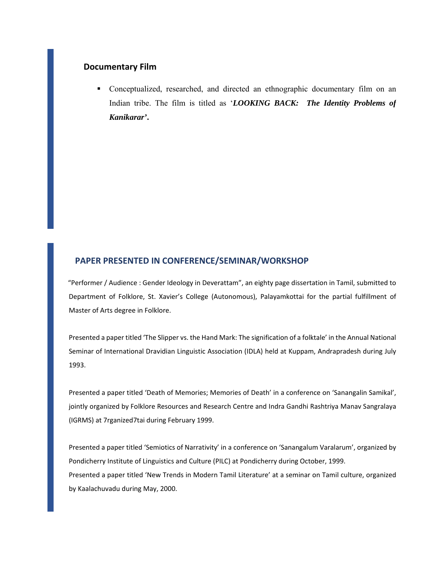#### **Documentary Film**

 Conceptualized, researched, and directed an ethnographic documentary film on an Indian tribe. The film is titled as '*LOOKING BACK: The Identity Problems of Kanikarar'***.** 

## **PAPER PRESENTED IN CONFERENCE/SEMINAR/WORKSHOP**

"Performer / Audience : Gender Ideology in Deverattam", an eighty page dissertation in Tamil, submitted to Department of Folklore, St. Xavier's College (Autonomous), Palayamkottai for the partial fulfillment of Master of Arts degree in Folklore.

Presented a paper titled 'The Slipper vs. the Hand Mark: The signification of a folktale' in the Annual National Seminar of International Dravidian Linguistic Association (IDLA) held at Kuppam, Andrapradesh during July 1993.

Presented a paper titled 'Death of Memories; Memories of Death' in a conference on 'Sanangalin Samikal', jointly organized by Folklore Resources and Research Centre and Indra Gandhi Rashtriya Manav Sangralaya (IGRMS) at 7rganized7tai during February 1999.

Presented a paper titled 'Semiotics of Narrativity' in a conference on 'Sanangalum Varalarum', organized by Pondicherry Institute of Linguistics and Culture (PILC) at Pondicherry during October, 1999. Presented a paper titled 'New Trends in Modern Tamil Literature' at a seminar on Tamil culture, organized by Kaalachuvadu during May, 2000.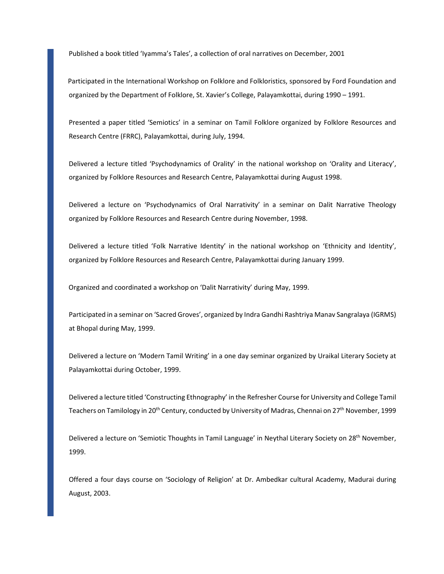Published a book titled 'Iyamma's Tales', a collection of oral narratives on December, 2001

Participated in the International Workshop on Folklore and Folkloristics, sponsored by Ford Foundation and organized by the Department of Folklore, St. Xavier's College, Palayamkottai, during 1990 – 1991.

Presented a paper titled 'Semiotics' in a seminar on Tamil Folklore organized by Folklore Resources and Research Centre (FRRC), Palayamkottai, during July, 1994.

Delivered a lecture titled 'Psychodynamics of Orality' in the national workshop on 'Orality and Literacy', organized by Folklore Resources and Research Centre, Palayamkottai during August 1998.

Delivered a lecture on 'Psychodynamics of Oral Narrativity' in a seminar on Dalit Narrative Theology organized by Folklore Resources and Research Centre during November, 1998.

Delivered a lecture titled 'Folk Narrative Identity' in the national workshop on 'Ethnicity and Identity', organized by Folklore Resources and Research Centre, Palayamkottai during January 1999.

Organized and coordinated a workshop on 'Dalit Narrativity' during May, 1999.

Participated in a seminar on 'Sacred Groves', organized by Indra Gandhi Rashtriya Manav Sangralaya (IGRMS) at Bhopal during May, 1999.

Delivered a lecture on 'Modern Tamil Writing' in a one day seminar organized by Uraikal Literary Society at Palayamkottai during October, 1999.

Delivered a lecture titled 'Constructing Ethnography' in the Refresher Course for University and College Tamil Teachers on Tamilology in 20<sup>th</sup> Century, conducted by University of Madras, Chennai on 27<sup>th</sup> November, 1999

Delivered a lecture on 'Semiotic Thoughts in Tamil Language' in Neythal Literary Society on 28<sup>th</sup> November, 1999.

Offered a four days course on 'Sociology of Religion' at Dr. Ambedkar cultural Academy, Madurai during August, 2003.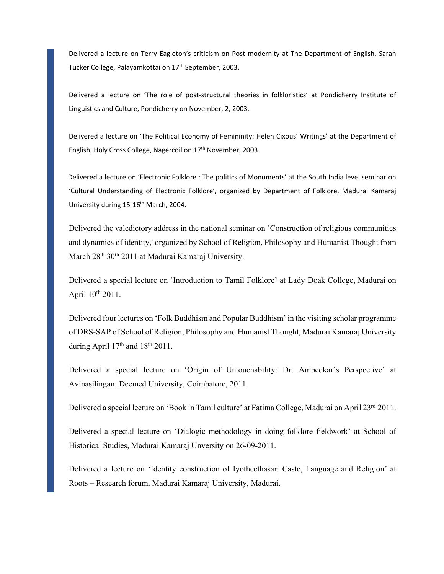Delivered a lecture on Terry Eagleton's criticism on Post modernity at The Department of English, Sarah Tucker College, Palayamkottai on 17<sup>th</sup> September, 2003.

Delivered a lecture on 'The role of post-structural theories in folkloristics' at Pondicherry Institute of Linguistics and Culture, Pondicherry on November, 2, 2003.

Delivered a lecture on 'The Political Economy of Femininity: Helen Cixous' Writings' at the Department of English, Holy Cross College, Nagercoil on 17<sup>th</sup> November, 2003.

Delivered a lecture on 'Electronic Folklore : The politics of Monuments' at the South India level seminar on 'Cultural Understanding of Electronic Folklore', organized by Department of Folklore, Madurai Kamaraj University during 15-16<sup>th</sup> March, 2004.

Delivered the valedictory address in the national seminar on 'Construction of religious communities and dynamics of identity,' organized by School of Religion, Philosophy and Humanist Thought from March 28<sup>th</sup> 30<sup>th</sup> 2011 at Madurai Kamaraj University.

Delivered a special lecture on 'Introduction to Tamil Folklore' at Lady Doak College, Madurai on April 10th 2011.

Delivered four lectures on 'Folk Buddhism and Popular Buddhism' in the visiting scholar programme of DRS-SAP of School of Religion, Philosophy and Humanist Thought, Madurai Kamaraj University during April 17<sup>th</sup> and 18<sup>th</sup> 2011.

Delivered a special lecture on 'Origin of Untouchability: Dr. Ambedkar's Perspective' at Avinasilingam Deemed University, Coimbatore, 2011.

Delivered a special lecture on 'Book in Tamil culture' at Fatima College, Madurai on April 23rd 2011.

Delivered a special lecture on 'Dialogic methodology in doing folklore fieldwork' at School of Historical Studies, Madurai Kamaraj Unversity on 26-09-2011.

Delivered a lecture on 'Identity construction of Iyotheethasar: Caste, Language and Religion' at Roots – Research forum, Madurai Kamaraj University, Madurai.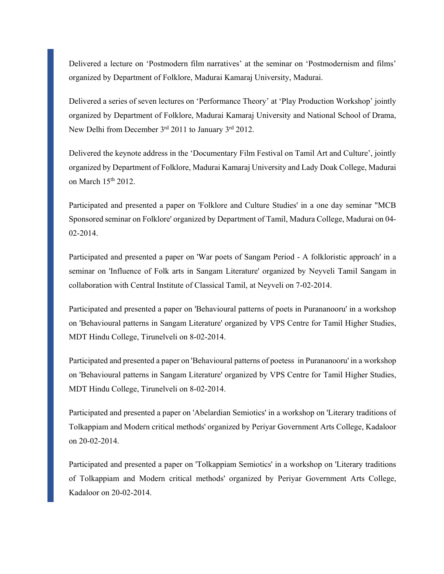Delivered a lecture on 'Postmodern film narratives' at the seminar on 'Postmodernism and films' organized by Department of Folklore, Madurai Kamaraj University, Madurai.

Delivered a series of seven lectures on 'Performance Theory' at 'Play Production Workshop' jointly organized by Department of Folklore, Madurai Kamaraj University and National School of Drama, New Delhi from December 3<sup>rd</sup> 2011 to January 3<sup>rd</sup> 2012.

Delivered the keynote address in the 'Documentary Film Festival on Tamil Art and Culture', jointly organized by Department of Folklore, Madurai Kamaraj University and Lady Doak College, Madurai on March 15th 2012.

Participated and presented a paper on 'Folklore and Culture Studies' in a one day seminar "MCB Sponsored seminar on Folklore' organized by Department of Tamil, Madura College, Madurai on 04- 02-2014.

Participated and presented a paper on 'War poets of Sangam Period - A folkloristic approach' in a seminar on 'Influence of Folk arts in Sangam Literature' organized by Neyveli Tamil Sangam in collaboration with Central Institute of Classical Tamil, at Neyveli on 7-02-2014.

Participated and presented a paper on 'Behavioural patterns of poets in Purananooru' in a workshop on 'Behavioural patterns in Sangam Literature' organized by VPS Centre for Tamil Higher Studies, MDT Hindu College, Tirunelveli on 8-02-2014.

Participated and presented a paper on 'Behavioural patterns of poetess in Purananooru' in a workshop on 'Behavioural patterns in Sangam Literature' organized by VPS Centre for Tamil Higher Studies, MDT Hindu College, Tirunelveli on 8-02-2014.

Participated and presented a paper on 'Abelardian Semiotics' in a workshop on 'Literary traditions of Tolkappiam and Modern critical methods' organized by Periyar Government Arts College, Kadaloor on 20-02-2014.

Participated and presented a paper on 'Tolkappiam Semiotics' in a workshop on 'Literary traditions of Tolkappiam and Modern critical methods' organized by Periyar Government Arts College, Kadaloor on 20-02-2014.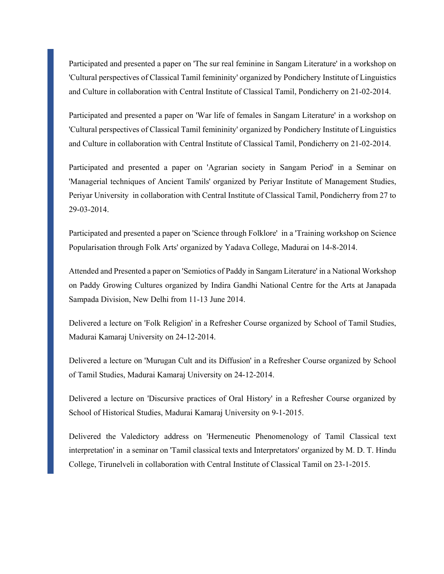Participated and presented a paper on 'The sur real feminine in Sangam Literature' in a workshop on 'Cultural perspectives of Classical Tamil femininity' organized by Pondichery Institute of Linguistics and Culture in collaboration with Central Institute of Classical Tamil, Pondicherry on 21-02-2014.

Participated and presented a paper on 'War life of females in Sangam Literature' in a workshop on 'Cultural perspectives of Classical Tamil femininity' organized by Pondichery Institute of Linguistics and Culture in collaboration with Central Institute of Classical Tamil, Pondicherry on 21-02-2014.

Participated and presented a paper on 'Agrarian society in Sangam Period' in a Seminar on 'Managerial techniques of Ancient Tamils' organized by Periyar Institute of Management Studies, Periyar University in collaboration with Central Institute of Classical Tamil, Pondicherry from 27 to 29-03-2014.

Participated and presented a paper on 'Science through Folklore' in a 'Training workshop on Science Popularisation through Folk Arts' organized by Yadava College, Madurai on 14-8-2014.

Attended and Presented a paper on 'Semiotics of Paddy in Sangam Literature' in a National Workshop on Paddy Growing Cultures organized by Indira Gandhi National Centre for the Arts at Janapada Sampada Division, New Delhi from 11-13 June 2014.

Delivered a lecture on 'Folk Religion' in a Refresher Course organized by School of Tamil Studies, Madurai Kamaraj University on 24-12-2014.

Delivered a lecture on 'Murugan Cult and its Diffusion' in a Refresher Course organized by School of Tamil Studies, Madurai Kamaraj University on 24-12-2014.

Delivered a lecture on 'Discursive practices of Oral History' in a Refresher Course organized by School of Historical Studies, Madurai Kamaraj University on 9-1-2015.

Delivered the Valedictory address on 'Hermeneutic Phenomenology of Tamil Classical text interpretation' in a seminar on 'Tamil classical texts and Interpretators' organized by M. D. T. Hindu College, Tirunelveli in collaboration with Central Institute of Classical Tamil on 23-1-2015.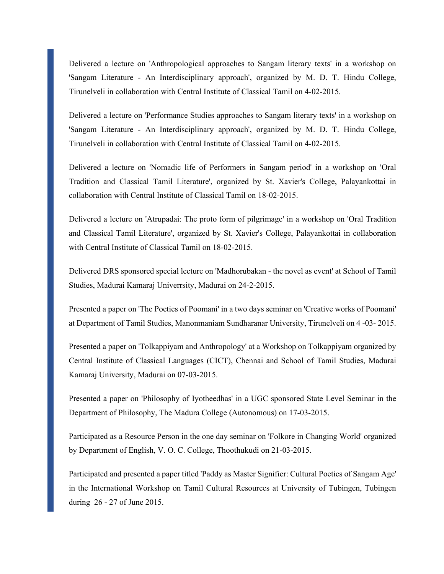Delivered a lecture on 'Anthropological approaches to Sangam literary texts' in a workshop on 'Sangam Literature - An Interdisciplinary approach', organized by M. D. T. Hindu College, Tirunelveli in collaboration with Central Institute of Classical Tamil on 4-02-2015.

Delivered a lecture on 'Performance Studies approaches to Sangam literary texts' in a workshop on 'Sangam Literature - An Interdisciplinary approach', organized by M. D. T. Hindu College, Tirunelveli in collaboration with Central Institute of Classical Tamil on 4-02-2015.

Delivered a lecture on 'Nomadic life of Performers in Sangam period' in a workshop on 'Oral Tradition and Classical Tamil Literature', organized by St. Xavier's College, Palayankottai in collaboration with Central Institute of Classical Tamil on 18-02-2015.

Delivered a lecture on 'Atrupadai: The proto form of pilgrimage' in a workshop on 'Oral Tradition and Classical Tamil Literature', organized by St. Xavier's College, Palayankottai in collaboration with Central Institute of Classical Tamil on 18-02-2015.

Delivered DRS sponsored special lecture on 'Madhorubakan - the novel as event' at School of Tamil Studies, Madurai Kamaraj Univerrsity, Madurai on 24-2-2015.

Presented a paper on 'The Poetics of Poomani' in a two days seminar on 'Creative works of Poomani' at Department of Tamil Studies, Manonmaniam Sundharanar University, Tirunelveli on 4 -03- 2015.

Presented a paper on 'Tolkappiyam and Anthropology' at a Workshop on Tolkappiyam organized by Central Institute of Classical Languages (CICT), Chennai and School of Tamil Studies, Madurai Kamaraj University, Madurai on 07-03-2015.

Presented a paper on 'Philosophy of Iyotheedhas' in a UGC sponsored State Level Seminar in the Department of Philosophy, The Madura College (Autonomous) on 17-03-2015.

Participated as a Resource Person in the one day seminar on 'Folkore in Changing World' organized by Department of English, V. O. C. College, Thoothukudi on 21-03-2015.

Participated and presented a paper titled 'Paddy as Master Signifier: Cultural Poetics of Sangam Age' in the International Workshop on Tamil Cultural Resources at University of Tubingen, Tubingen during 26 - 27 of June 2015.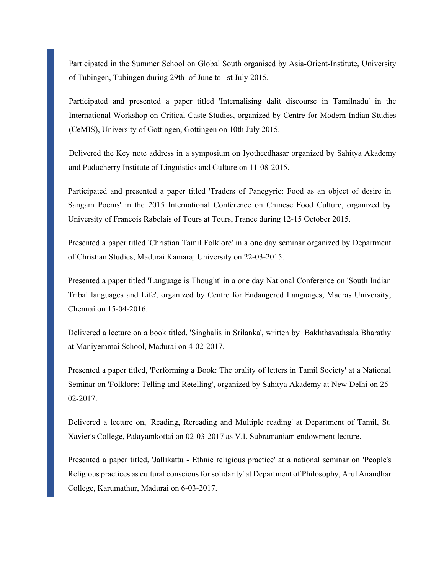Participated in the Summer School on Global South organised by Asia-Orient-Institute, University of Tubingen, Tubingen during 29th of June to 1st July 2015.

Participated and presented a paper titled 'Internalising dalit discourse in Tamilnadu' in the International Workshop on Critical Caste Studies, organized by Centre for Modern Indian Studies (CeMIS), University of Gottingen, Gottingen on 10th July 2015.

Delivered the Key note address in a symposium on Iyotheedhasar organized by Sahitya Akademy and Puducherry Institute of Linguistics and Culture on 11-08-2015.

Participated and presented a paper titled 'Traders of Panegyric: Food as an object of desire in Sangam Poems' in the 2015 International Conference on Chinese Food Culture, organized by University of Francois Rabelais of Tours at Tours, France during 12-15 October 2015.

Presented a paper titled 'Christian Tamil Folklore' in a one day seminar organized by Department of Christian Studies, Madurai Kamaraj University on 22-03-2015.

Presented a paper titled 'Language is Thought' in a one day National Conference on 'South Indian Tribal languages and Life', organized by Centre for Endangered Languages, Madras University, Chennai on 15-04-2016.

Delivered a lecture on a book titled, 'Singhalis in Srilanka', written by Bakhthavathsala Bharathy at Maniyemmai School, Madurai on 4-02-2017.

Presented a paper titled, 'Performing a Book: The orality of letters in Tamil Society' at a National Seminar on 'Folklore: Telling and Retelling', organized by Sahitya Akademy at New Delhi on 25- 02-2017.

Delivered a lecture on, 'Reading, Rereading and Multiple reading' at Department of Tamil, St. Xavier's College, Palayamkottai on 02-03-2017 as V.I. Subramaniam endowment lecture.

Presented a paper titled, 'Jallikattu - Ethnic religious practice' at a national seminar on 'People's Religious practices as cultural conscious for solidarity' at Department of Philosophy, Arul Anandhar College, Karumathur, Madurai on 6-03-2017.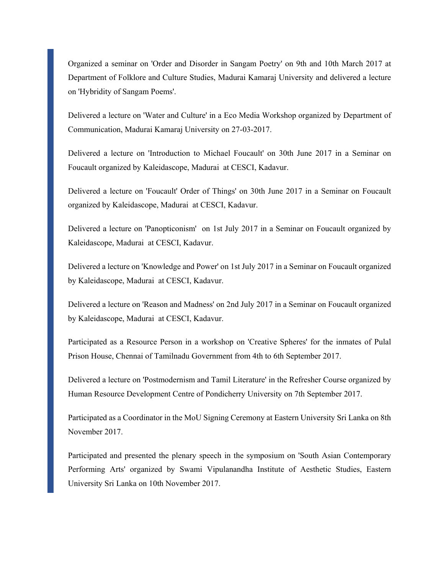Organized a seminar on 'Order and Disorder in Sangam Poetry' on 9th and 10th March 2017 at Department of Folklore and Culture Studies, Madurai Kamaraj University and delivered a lecture on 'Hybridity of Sangam Poems'.

Delivered a lecture on 'Water and Culture' in a Eco Media Workshop organized by Department of Communication, Madurai Kamaraj University on 27-03-2017.

Delivered a lecture on 'Introduction to Michael Foucault' on 30th June 2017 in a Seminar on Foucault organized by Kaleidascope, Madurai at CESCI, Kadavur.

Delivered a lecture on 'Foucault' Order of Things' on 30th June 2017 in a Seminar on Foucault organized by Kaleidascope, Madurai at CESCI, Kadavur.

Delivered a lecture on 'Panopticonism' on 1st July 2017 in a Seminar on Foucault organized by Kaleidascope, Madurai at CESCI, Kadavur.

Delivered a lecture on 'Knowledge and Power' on 1st July 2017 in a Seminar on Foucault organized by Kaleidascope, Madurai at CESCI, Kadavur.

Delivered a lecture on 'Reason and Madness' on 2nd July 2017 in a Seminar on Foucault organized by Kaleidascope, Madurai at CESCI, Kadavur.

Participated as a Resource Person in a workshop on 'Creative Spheres' for the inmates of Pulal Prison House, Chennai of Tamilnadu Government from 4th to 6th September 2017.

Delivered a lecture on 'Postmodernism and Tamil Literature' in the Refresher Course organized by Human Resource Development Centre of Pondicherry University on 7th September 2017.

Participated as a Coordinator in the MoU Signing Ceremony at Eastern University Sri Lanka on 8th November 2017.

Participated and presented the plenary speech in the symposium on 'South Asian Contemporary Performing Arts' organized by Swami Vipulanandha Institute of Aesthetic Studies, Eastern University Sri Lanka on 10th November 2017.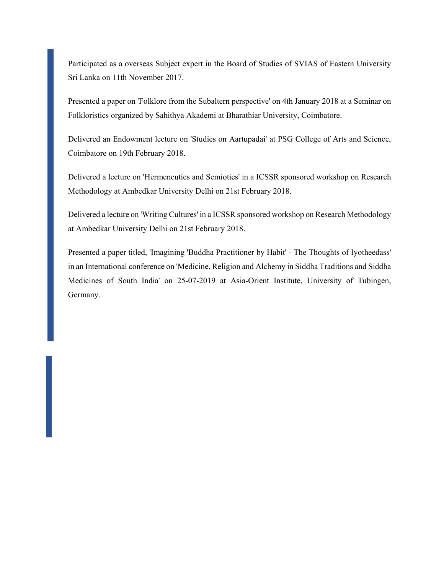Participated as a overseas Subject expert in the Board of Studies of SVIAS of Eastern University Sri Lanka on 11th November 2017.

Presented a paper on 'Folklore from the Subaltern perspective' on 4th January 2018 at a Seminar on Folkloristics organized by Sahithya Akademi at Bharathiar University, Coimbatore.

Delivered an Endowment lecture on 'Studies on Aartupadai' at PSG College of Arts and Science, Coimbatore on 19th February 2018.

Delivered a lecture on 'Hermeneutics and Semiotics' in a ICSSR sponsored workshop on Research Methodology at Ambedkar University Delhi on 21st February 2018.

Delivered a lecture on 'Writing Cultures' in a ICSSR sponsored workshop on Research Methodology at Ambedkar University Delhi on 21st February 2018.

Presented a paper titled, 'Imagining 'Buddha Practitioner by Habit' - The Thoughts of Iyotheedass' in an International conference on 'Medicine, Religion and Alchemy in Siddha Traditions and Siddha Medicines of South India' on 25-07-2019 at Asia-Orient Institute, University of Tubingen, Germany.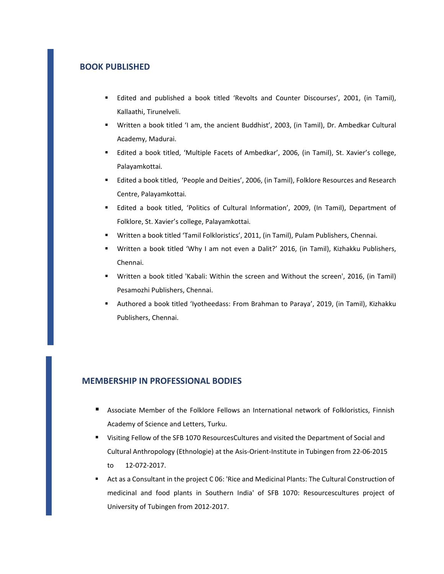#### **BOOK PUBLISHED**

- Edited and published a book titled 'Revolts and Counter Discourses', 2001, (in Tamil), Kallaathi, Tirunelveli.
- Written a book titled 'I am, the ancient Buddhist', 2003, (in Tamil), Dr. Ambedkar Cultural Academy, Madurai.
- Edited a book titled, 'Multiple Facets of Ambedkar', 2006, (in Tamil), St. Xavier's college, Palayamkottai.
- Edited a book titled, 'People and Deities', 2006, (in Tamil), Folklore Resources and Research Centre, Palayamkottai.
- Edited a book titled, 'Politics of Cultural Information', 2009, (In Tamil), Department of Folklore, St. Xavier's college, Palayamkottai.
- Written a book titled 'Tamil Folkloristics', 2011, (in Tamil), Pulam Publishers, Chennai.
- Written a book titled 'Why I am not even a Dalit?' 2016, (in Tamil), Kizhakku Publishers, Chennai.
- Written a book titled 'Kabali: Within the screen and Without the screen', 2016, (in Tamil) Pesamozhi Publishers, Chennai.
- Authored a book titled 'Iyotheedass: From Brahman to Paraya', 2019, (in Tamil), Kizhakku Publishers, Chennai.

#### **MEMBERSHIP IN PROFESSIONAL BODIES**

- Associate Member of the Folklore Fellows an International network of Folkloristics, Finnish Academy of Science and Letters, Turku.
- Visiting Fellow of the SFB 1070 ResourcesCultures and visited the Department of Social and Cultural Anthropology (Ethnologie) at the Asis‐Orient‐Institute in Tubingen from 22‐06‐2015 to 12‐072‐2017.
- Act as a Consultant in the project C 06: 'Rice and Medicinal Plants: The Cultural Construction of medicinal and food plants in Southern India' of SFB 1070: Resourcescultures project of University of Tubingen from 2012‐2017.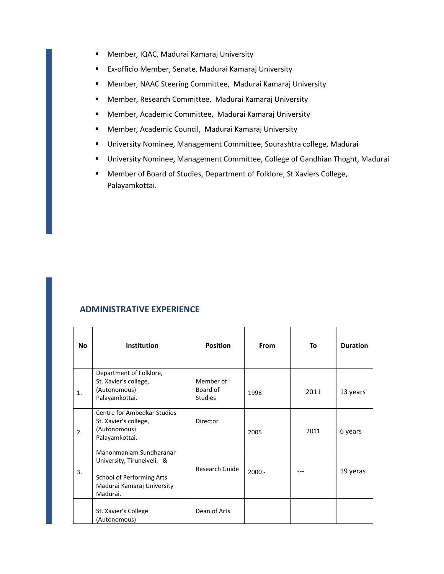- Member, IQAC, Madurai Kamaraj University
- Ex-officio Member, Senate, Madurai Kamaraj University
- Member, NAAC Steering Committee, Madurai Kamaraj University
- Member, Research Committee, Madurai Kamaraj University
- Member, Academic Committee, Madurai Kamaraj University
- Member, Academic Council, Madurai Kamaraj University
- University Nominee, Management Committee, Sourashtra college, Madurai
- University Nominee, Management Committee, College of Gandhian Thoght, Madurai
- Member of Board of Studies, Department of Folklore, St Xaviers College, Palayamkottai.

# **ADMINISTRATIVE EXPERIENCE**

| <b>No</b> | Institution                                                                                                                  | <b>Position</b>                         | <b>From</b> | To   | <b>Duration</b> |
|-----------|------------------------------------------------------------------------------------------------------------------------------|-----------------------------------------|-------------|------|-----------------|
| 1.        | Department of Folklore,<br>St. Xavier's college,<br>(Autonomous)<br>Palayamkottai.                                           | Member of<br>Board of<br><b>Studies</b> | 1998        | 2011 | 13 years        |
| 2.        | Centre for Ambedkar Studies<br>St. Xavier's college,<br>(Autonomous)<br>Palayamkottai.                                       | Director                                | 2005        | 2011 | 6 years         |
| 3.        | Manonmaniam Sundharanar<br>University, Tirunelveli. &<br>School of Performing Arts<br>Madurai Kamaraj University<br>Madurai. | Research Guide                          | $2000 -$    |      | 19 yeras        |
|           | St. Xavier's College<br>(Autonomous)                                                                                         | Dean of Arts                            |             |      |                 |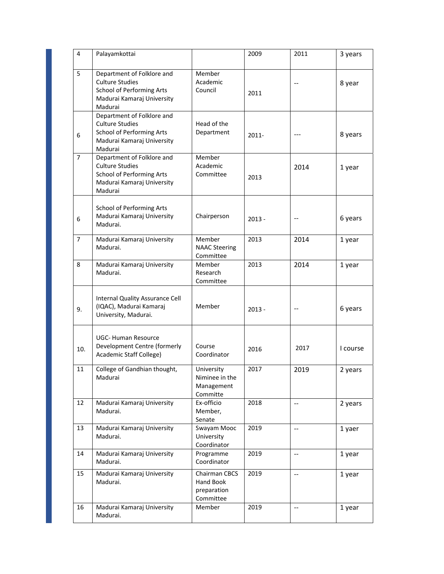| 4   | Palayamkottai                                                                                                                     |                                                        | 2009     | 2011                                          | 3 years  |
|-----|-----------------------------------------------------------------------------------------------------------------------------------|--------------------------------------------------------|----------|-----------------------------------------------|----------|
| 5   | Department of Folklore and<br><b>Culture Studies</b><br>School of Performing Arts<br>Madurai Kamaraj University<br>Madurai        | Member<br>Academic<br>Council                          | 2011     |                                               | 8 year   |
| 6   | Department of Folklore and<br><b>Culture Studies</b><br><b>School of Performing Arts</b><br>Madurai Kamaraj University<br>Madurai | Head of the<br>Department                              | $2011 -$ |                                               | 8 years  |
| 7   | Department of Folklore and<br><b>Culture Studies</b><br><b>School of Performing Arts</b><br>Madurai Kamaraj University<br>Madurai | Member<br>Academic<br>Committee                        | 2013     | 2014                                          | 1 year   |
| 6   | <b>School of Performing Arts</b><br>Madurai Kamaraj University<br>Madurai.                                                        | Chairperson                                            | $2013 -$ |                                               | 6 years  |
| 7   | Madurai Kamaraj University<br>Madurai.                                                                                            | Member<br><b>NAAC Steering</b><br>Committee            | 2013     | 2014                                          | 1 year   |
| 8   | Madurai Kamaraj University<br>Madurai.                                                                                            | Member<br>Research<br>Committee                        | 2013     | 2014                                          | 1 year   |
| 9.  | Internal Quality Assurance Cell<br>(IQAC), Madurai Kamaraj<br>University, Madurai.                                                | Member                                                 | $2013 -$ |                                               | 6 years  |
| 10. | <b>UGC- Human Resource</b><br>Development Centre (formerly<br>Academic Staff College)                                             | Course<br>Coordinator                                  | 2016     | 2017                                          | I course |
| 11  | College of Gandhian thought,<br>Madurai                                                                                           | University<br>Niminee in the<br>Management<br>Committe | 2017     | 2019                                          | 2 years  |
| 12  | Madurai Kamaraj University<br>Madurai.                                                                                            | Ex-officio<br>Member,<br>Senate                        | 2018     | $\mathord{\hspace{1pt}\text{--}\hspace{1pt}}$ | 2 years  |
| 13  | Madurai Kamaraj University<br>Madurai.                                                                                            | Swayam Mooc<br>University<br>Coordinator               | 2019     | $\hspace{0.05cm} \textbf{--}$                 | 1 yaer   |
| 14  | Madurai Kamaraj University<br>Madurai.                                                                                            | Programme<br>Coordinator                               | 2019     | $\overline{\phantom{a}}$                      | 1 year   |
| 15  | Madurai Kamaraj University<br>Madurai.                                                                                            | Chairman CBCS<br>Hand Book<br>preparation<br>Committee | 2019     | $\overline{a}$                                | 1 year   |
| 16  | Madurai Kamaraj University<br>Madurai.                                                                                            | Member                                                 | 2019     | $\mathord{\hspace{1pt}\text{--}\hspace{1pt}}$ | 1 year   |